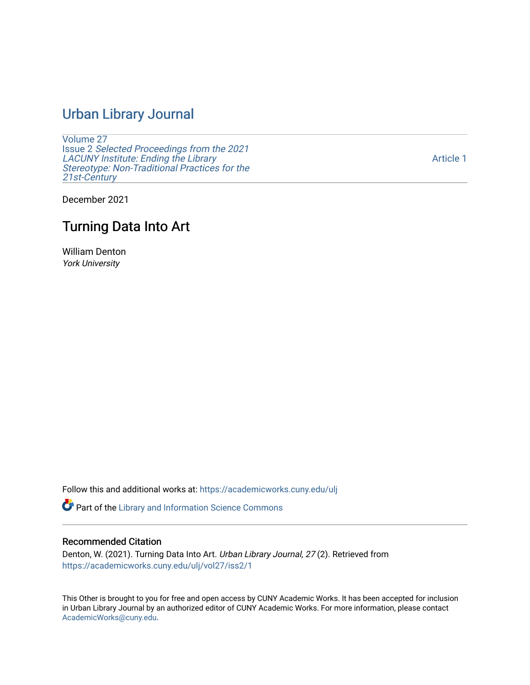## [Urban Library Journal](https://academicworks.cuny.edu/ulj)

[Volume 27](https://academicworks.cuny.edu/ulj/vol27) Issue 2 [Selected Proceedings from the 2021](https://academicworks.cuny.edu/ulj/vol27/iss2)  [LACUNY Institute: Ending the Library](https://academicworks.cuny.edu/ulj/vol27/iss2)  [Stereotype: Non-Traditional Practices for the](https://academicworks.cuny.edu/ulj/vol27/iss2)  [21st-Century](https://academicworks.cuny.edu/ulj/vol27/iss2)

[Article 1](https://academicworks.cuny.edu/ulj/vol27/iss2/1) 

December 2021

## Turning Data Into Art

William Denton York University

Follow this and additional works at: [https://academicworks.cuny.edu/ulj](https://academicworks.cuny.edu/ulj?utm_source=academicworks.cuny.edu%2Fulj%2Fvol27%2Fiss2%2F1&utm_medium=PDF&utm_campaign=PDFCoverPages)

Part of the [Library and Information Science Commons](http://network.bepress.com/hgg/discipline/1018?utm_source=academicworks.cuny.edu%2Fulj%2Fvol27%2Fiss2%2F1&utm_medium=PDF&utm_campaign=PDFCoverPages) 

#### Recommended Citation

Denton, W. (2021). Turning Data Into Art. Urban Library Journal, 27 (2). Retrieved from [https://academicworks.cuny.edu/ulj/vol27/iss2/1](https://academicworks.cuny.edu/ulj/vol27/iss2/1?utm_source=academicworks.cuny.edu%2Fulj%2Fvol27%2Fiss2%2F1&utm_medium=PDF&utm_campaign=PDFCoverPages) 

This Other is brought to you for free and open access by CUNY Academic Works. It has been accepted for inclusion in Urban Library Journal by an authorized editor of CUNY Academic Works. For more information, please contact [AcademicWorks@cuny.edu](mailto:AcademicWorks@cuny.edu).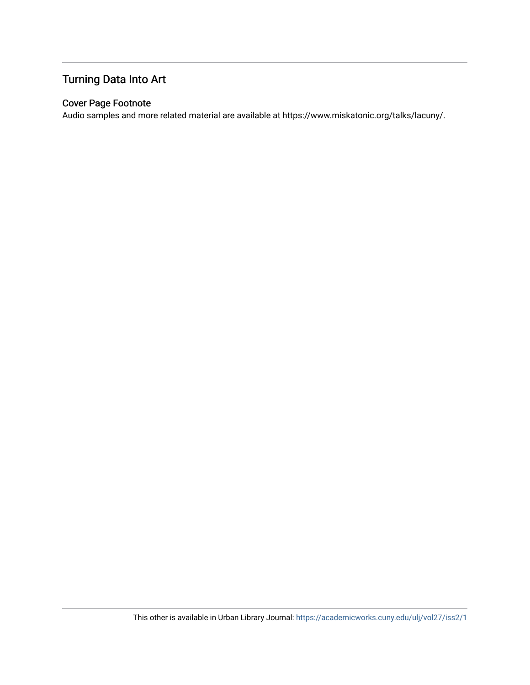## Turning Data Into Art

#### Cover Page Footnote

Audio samples and more related material are available at https://www.miskatonic.org/talks/lacuny/.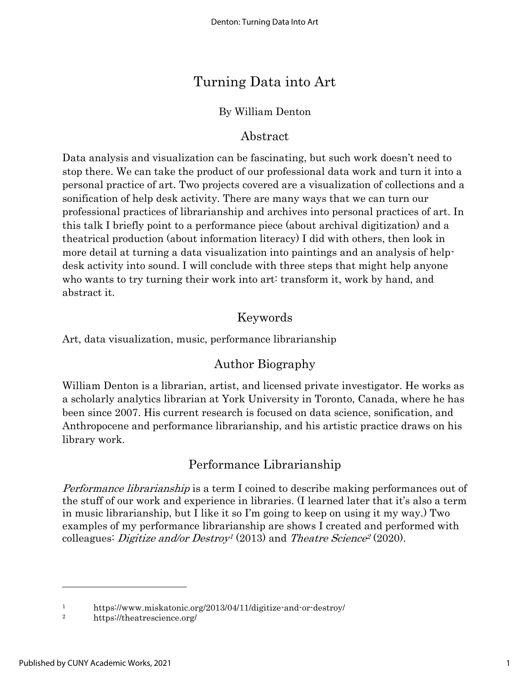# Turning Data into Art

#### By William Denton

#### Abstract

Data analysis and visualization can be fascinating, but such work doesn't need to stop there. We can take the product of our professional data work and turn it into a personal practice of art. Two projects covered are a visualization of collections and a sonification of help desk activity. There are many ways that we can turn our professional practices of librarianship and archives into personal practices of art. In this talk I briefly point to a performance piece (about archival digitization) and a theatrical production (about information literacy) I did with others, then look in more detail at turning a data visualization into paintings and an analysis of helpdesk activity into sound. I will conclude with three steps that might help anyone who wants to try turning their work into art: transform it, work by hand, and abstract it.

#### Keywords

Art, data visualization, music, performance librarianship

## Author Biography

William Denton is a librarian, artist, and licensed private investigator. He works as a scholarly analytics librarian at York University in Toronto, Canada, where he has been since 2007. His current research is focused on data science, sonification, and Anthropocene and performance librarianship, and his artistic practice draws on his library work.

## Performance Librarianship

Performance librarianship is a term I coined to describe making performances out of the stuff of our work and experience in libraries. (I learned later that it's also a term in music librarianship, but I like it so I'm going to keep on using it my way.) Two examples of my performance librarianship are shows I created and performed with colleagues: *Digitize and/or Destroy<sup>1</sup>* (2013) and *Theatre Science<sup>2</sup>* (2020).

<sup>1</sup> https://www.miskatonic.org/2013/04/11/digitize-and-or-destroy/

<sup>2</sup> https://theatrescience.org/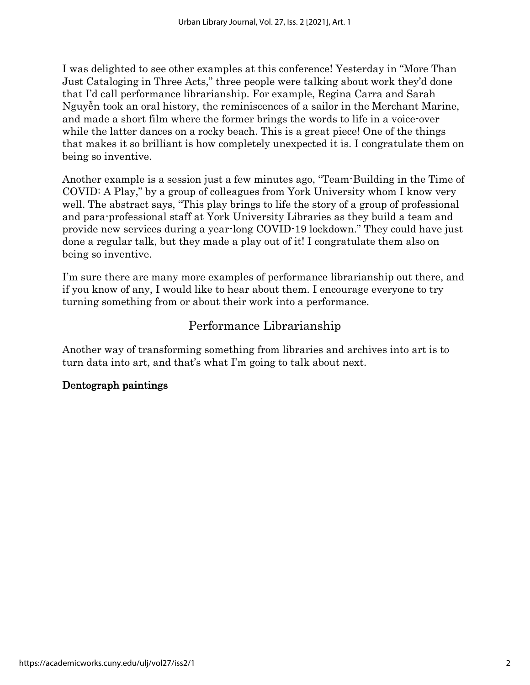I was delighted to see other examples at this conference! Yesterday in "More Than Just Cataloging in Three Acts," three people were talking about work they'd done that I'd call performance librarianship. For example, Regina Carra and Sarah Nguyễn took an oral history, the reminiscences of a sailor in the Merchant Marine, and made a short film where the former brings the words to life in a voice-over while the latter dances on a rocky beach. This is a great piece! One of the things that makes it so brilliant is how completely unexpected it is. I congratulate them on being so inventive.

Another example is a session just a few minutes ago, "Team-Building in the Time of COVID: A Play," by a group of colleagues from York University whom I know very well. The abstract says, "This play brings to life the story of a group of professional and para-professional staff at York University Libraries as they build a team and provide new services during a year-long COVID-19 lockdown." They could have just done a regular talk, but they made a play out of it! I congratulate them also on being so inventive.

I'm sure there are many more examples of performance librarianship out there, and if you know of any, I would like to hear about them. I encourage everyone to try turning something from or about their work into a performance.

#### Performance Librarianship

Another way of transforming something from libraries and archives into art is to turn data into art, and that's what I'm going to talk about next.

#### Dentograph paintings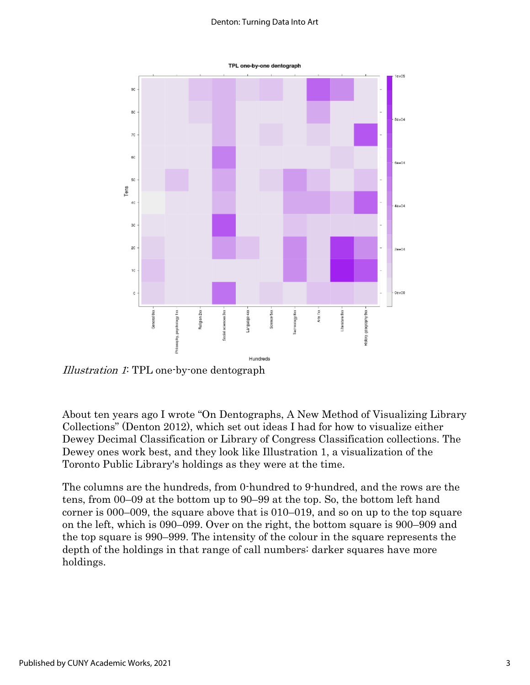#### Denton: Turning Data Into Art



Illustration 1: TPL one-by-one dentograph

About ten years ago I wrote "On Dentographs, A New Method of Visualizing Library Collections" (Denton 2012), which set out ideas I had for how to visualize either Dewey Decimal Classification or Library of Congress Classification collections. The Dewey ones work best, and they look like Illustration 1, a visualization of the Toronto Public Library's holdings as they were at the time.

The columns are the hundreds, from 0-hundred to 9-hundred, and the rows are the tens, from 00–09 at the bottom up to 90–99 at the top. So, the bottom left hand corner is 000–009, the square above that is 010–019, and so on up to the top square on the left, which is 090–099. Over on the right, the bottom square is 900–909 and the top square is 990–999. The intensity of the colour in the square represents the depth of the holdings in that range of call numbers: darker squares have more holdings.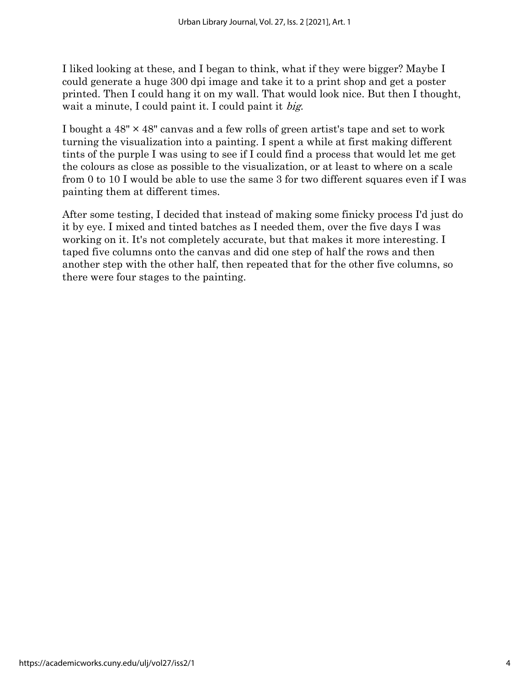I liked looking at these, and I began to think, what if they were bigger? Maybe I could generate a huge 300 dpi image and take it to a print shop and get a poster printed. Then I could hang it on my wall. That would look nice. But then I thought, wait a minute, I could paint it. I could paint it big.

I bought a  $48" \times 48"$  canvas and a few rolls of green artist's tape and set to work turning the visualization into a painting. I spent a while at first making different tints of the purple I was using to see if I could find a process that would let me get the colours as close as possible to the visualization, or at least to where on a scale from 0 to 10 I would be able to use the same 3 for two different squares even if I was painting them at different times.

After some testing, I decided that instead of making some finicky process I'd just do it by eye. I mixed and tinted batches as I needed them, over the five days I was working on it. It's not completely accurate, but that makes it more interesting. I taped five columns onto the canvas and did one step of half the rows and then another step with the other half, then repeated that for the other five columns, so there were four stages to the painting.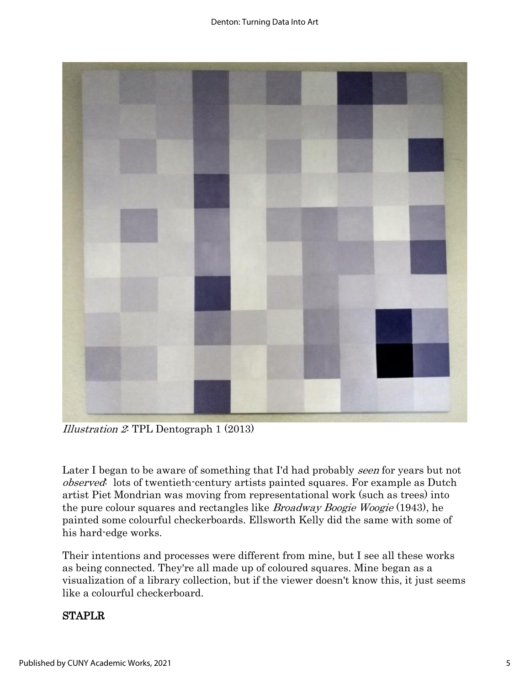

Illustration 2: TPL Dentograph 1 (2013)

Later I began to be aware of something that I'd had probably seen for years but not observed: lots of twentieth-century artists painted squares. For example as Dutch artist Piet Mondrian was moving from representational work (such as trees) into the pure colour squares and rectangles like *Broadway Boogie Woogie* (1943), he painted some colourful checkerboards. Ellsworth Kelly did the same with some of his hard-edge works.

Their intentions and processes were different from mine, but I see all these works as being connected. They're all made up of coloured squares. Mine began as a visualization of a library collection, but if the viewer doesn't know this, it just seems like a colourful checkerboard.

#### STAPLR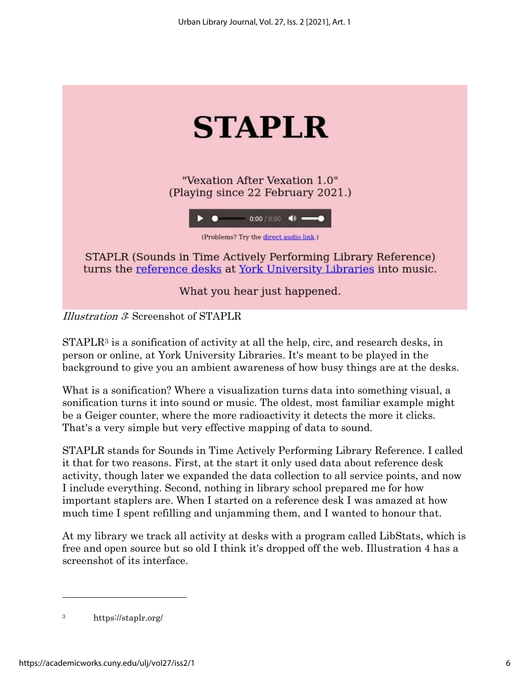

Illustration 3: Screenshot of STAPLR

 $STAPLR<sup>3</sup>$  is a sonification of activity at all the help, circ, and research desks, in person or online, at York University Libraries. It's meant to be played in the background to give you an ambient awareness of how busy things are at the desks.

What is a sonification? Where a visualization turns data into something visual, a sonification turns it into sound or music. The oldest, most familiar example might be a Geiger counter, where the more radioactivity it detects the more it clicks. That's a very simple but very effective mapping of data to sound.

STAPLR stands for Sounds in Time Actively Performing Library Reference. I called it that for two reasons. First, at the start it only used data about reference desk activity, though later we expanded the data collection to all service points, and now I include everything. Second, nothing in library school prepared me for how important staplers are. When I started on a reference desk I was amazed at how much time I spent refilling and unjamming them, and I wanted to honour that.

At my library we track all activity at desks with a program called LibStats, which is free and open source but so old I think it's dropped off the web. Illustration 4 has a screenshot of its interface.

<sup>3</sup> https://staplr.org/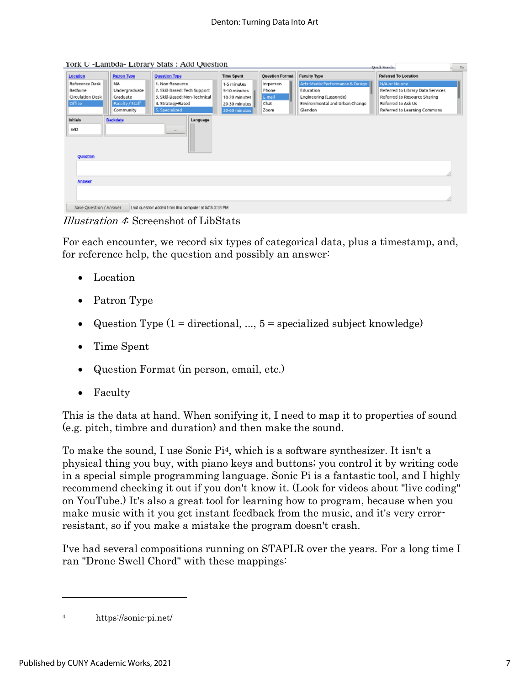York U -Lambda- Library Stats : Add Question

|                                                                                  |                    |                               |                   |                        |                                 | <b>CANCE MARKED</b><br>1.01       |
|----------------------------------------------------------------------------------|--------------------|-------------------------------|-------------------|------------------------|---------------------------------|-----------------------------------|
| Location                                                                         | <b>Patron Type</b> | Question Type                 | <b>Time Spent</b> | <b>Question Format</b> | <b>Faculty Type</b>             | Referred To Location              |
| Reference Desk                                                                   | <b>NA</b>          | 1. Non-Resource               | 1-5 minutes       | in-person              | Arts-Madia-Performance & Design | N/A or No one                     |
| Bethune                                                                          | Undergraduate      | 2. Skill Based: Tech Support  | 5-10 minutes      | Phone                  | Education                       | Referred to Library Data Services |
| Circulation Desk                                                                 | Graduate           | 3. Skill-Based: Non-Technical | 10-20 minutes     | E-mail                 | Engineering (Lassonde)          | Referred to Resource Sharing      |
| Office                                                                           | Faculty / Staff    | 4. Strategy-Based             | 20-30 minutes     | Chat                   | Environmental and Urban Change  | Referred to Ask Us                |
|                                                                                  | Community          | 5. Specialized                | 30-60 minutes     | Zoom                   | Glendon                         | Referred to Learning Commons      |
|                                                                                  |                    |                               |                   |                        |                                 |                                   |
| <b>Initials</b>                                                                  | <b>Backdate</b>    | Language                      |                   |                        |                                 |                                   |
| WD                                                                               |                    |                               |                   |                        |                                 |                                   |
|                                                                                  |                    |                               |                   |                        |                                 |                                   |
| Question                                                                         |                    |                               |                   |                        |                                 |                                   |
|                                                                                  |                    |                               |                   |                        |                                 |                                   |
|                                                                                  |                    |                               |                   |                        |                                 |                                   |
|                                                                                  |                    |                               |                   |                        |                                 |                                   |
| <b>Answer</b>                                                                    |                    |                               |                   |                        |                                 |                                   |
|                                                                                  |                    |                               |                   |                        |                                 |                                   |
|                                                                                  |                    |                               |                   |                        |                                 |                                   |
| Save Question / Answer<br>Last question added from this computer at 5/05 3:18 PM |                    |                               |                   |                        |                                 |                                   |

Illustration 4: Screenshot of LibStats

For each encounter, we record six types of categorical data, plus a timestamp, and, for reference help, the question and possibly an answer:

- Location
- Patron Type
- Question Type  $(1 =$  directional, ...,  $5 =$  specialized subject knowledge)
- Time Spent
- Question Format (in person, email, etc.)
- Faculty

This is the data at hand. When sonifying it, I need to map it to properties of sound (e.g. pitch, timbre and duration) and then make the sound.

To make the sound, I use Sonic Pi4, which is a software synthesizer. It isn't a physical thing you buy, with piano keys and buttons; you control it by writing code in a special simple programming language. Sonic Pi is a fantastic tool, and I highly recommend checking it out if you don't know it. (Look for videos about "live coding" on YouTube.) It's also a great tool for learning how to program, because when you make music with it you get instant feedback from the music, and it's very errorresistant, so if you make a mistake the program doesn't crash.

I've had several compositions running on STAPLR over the years. For a long time I ran "Drone Swell Chord" with these mappings:

 $\overline{1}$ 

<sup>4</sup> https://sonic-pi.net/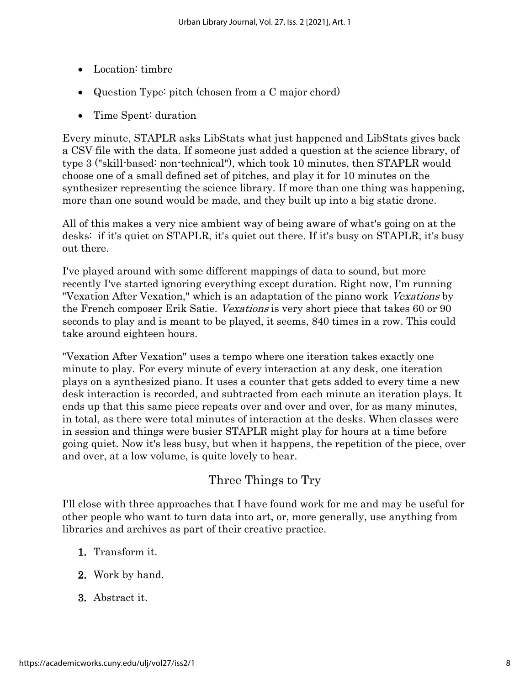- Location: timbre
- Question Type: pitch (chosen from a C major chord)
- Time Spent: duration

Every minute, STAPLR asks LibStats what just happened and LibStats gives back a CSV file with the data. If someone just added a question at the science library, of type 3 ("skill-based: non-technical"), which took 10 minutes, then STAPLR would choose one of a small defined set of pitches, and play it for 10 minutes on the synthesizer representing the science library. If more than one thing was happening, more than one sound would be made, and they built up into a big static drone.

All of this makes a very nice ambient way of being aware of what's going on at the desks: if it's quiet on STAPLR, it's quiet out there. If it's busy on STAPLR, it's busy out there.

I've played around with some different mappings of data to sound, but more recently I've started ignoring everything except duration. Right now, I'm running "Vexation After Vexation," which is an adaptation of the piano work Vexations by the French composer Erik Satie. Vexations is very short piece that takes 60 or 90 seconds to play and is meant to be played, it seems, 840 times in a row. This could take around eighteen hours.

"Vexation After Vexation" uses a tempo where one iteration takes exactly one minute to play. For every minute of every interaction at any desk, one iteration plays on a synthesized piano. It uses a counter that gets added to every time a new desk interaction is recorded, and subtracted from each minute an iteration plays. It ends up that this same piece repeats over and over and over, for as many minutes, in total, as there were total minutes of interaction at the desks. When classes were in session and things were busier STAPLR might play for hours at a time before going quiet. Now it's less busy, but when it happens, the repetition of the piece, over and over, at a low volume, is quite lovely to hear.

## Three Things to Try

I'll close with three approaches that I have found work for me and may be useful for other people who want to turn data into art, or, more generally, use anything from libraries and archives as part of their creative practice.

- 1. Transform it.
- 2. Work by hand.
- 3. Abstract it.